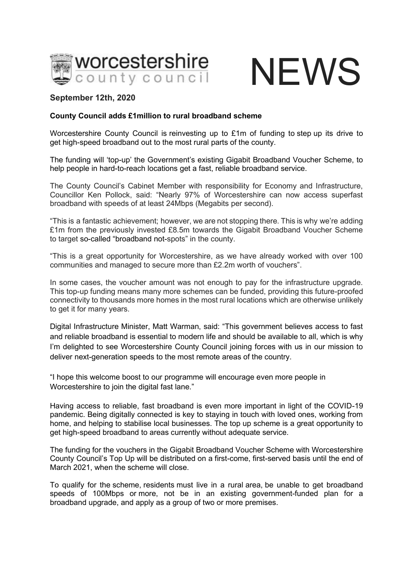

## **NEWS**

## **September 12th, 2020**

## **County Council adds £1million to rural broadband scheme**

Worcestershire County Council is reinvesting up to £1m of funding to step up its drive to get high-speed broadband out to the most rural parts of the county.

The funding will 'top-up' the Government's existing Gigabit Broadband Voucher Scheme, to help people in hard-to-reach locations get a fast, reliable broadband service.

The County Council's Cabinet Member with responsibility for Economy and Infrastructure, Councillor Ken Pollock, said: "Nearly 97% of Worcestershire can now access superfast broadband with speeds of at least 24Mbps (Megabits per second).

"This is a fantastic achievement; however, we are not stopping there. This is why we're adding £1m from the previously invested £8.5m towards the Gigabit Broadband Voucher Scheme to target so-called "broadband not-spots" in the county.

"This is a great opportunity for Worcestershire, as we have already worked with over 100 communities and managed to secure more than £2.2m worth of vouchers".

In some cases, the voucher amount was not enough to pay for the infrastructure upgrade. This top-up funding means many more schemes can be funded, providing this future-proofed connectivity to thousands more homes in the most rural locations which are otherwise unlikely to get it for many years.

Digital Infrastructure Minister, Matt Warman, said: "This government believes access to fast and reliable broadband is essential to modern life and should be available to all, which is why I'm delighted to see Worcestershire County Council joining forces with us in our mission to deliver next-generation speeds to the most remote areas of the country.

"I hope this welcome boost to our programme will encourage even more people in Worcestershire to join the digital fast lane."

Having access to reliable, fast broadband is even more important in light of the COVID-19 pandemic. Being digitally connected is key to staying in touch with loved ones, working from home, and helping to stabilise local businesses. The top up scheme is a great opportunity to get high-speed broadband to areas currently without adequate service. 

The funding for the vouchers in the Gigabit Broadband Voucher Scheme with Worcestershire County Council's Top Up will be distributed on a first-come, first-served basis until the end of March 2021, when the scheme will close.

To qualify for the scheme, residents must live in a rural area, be unable to get broadband speeds of 100Mbps or more, not be in an existing government-funded plan for a broadband upgrade, and apply as a group of two or more premises.